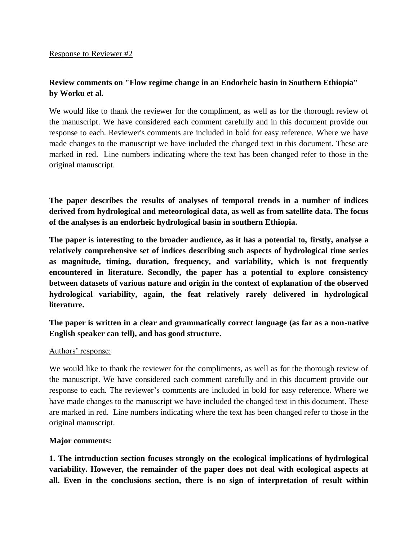# **Review comments on "Flow regime change in an Endorheic basin in Southern Ethiopia" by Worku et al.**

We would like to thank the reviewer for the compliment, as well as for the thorough review of the manuscript. We have considered each comment carefully and in this document provide our response to each. Reviewer's comments are included in bold for easy reference. Where we have made changes to the manuscript we have included the changed text in this document. These are marked in red. Line numbers indicating where the text has been changed refer to those in the original manuscript.

**The paper describes the results of analyses of temporal trends in a number of indices derived from hydrological and meteorological data, as well as from satellite data. The focus of the analyses is an endorheic hydrological basin in southern Ethiopia.**

**The paper is interesting to the broader audience, as it has a potential to, firstly, analyse a relatively comprehensive set of indices describing such aspects of hydrological time series as magnitude, timing, duration, frequency, and variability, which is not frequently encountered in literature. Secondly, the paper has a potential to explore consistency between datasets of various nature and origin in the context of explanation of the observed hydrological variability, again, the feat relatively rarely delivered in hydrological literature.** 

**The paper is written in a clear and grammatically correct language (as far as a non-native English speaker can tell), and has good structure.**

## Authors' response:

We would like to thank the reviewer for the compliments, as well as for the thorough review of the manuscript. We have considered each comment carefully and in this document provide our response to each. The reviewer's comments are included in bold for easy reference. Where we have made changes to the manuscript we have included the changed text in this document. These are marked in red. Line numbers indicating where the text has been changed refer to those in the original manuscript.

## **Major comments:**

**1. The introduction section focuses strongly on the ecological implications of hydrological variability. However, the remainder of the paper does not deal with ecological aspects at all. Even in the conclusions section, there is no sign of interpretation of result within**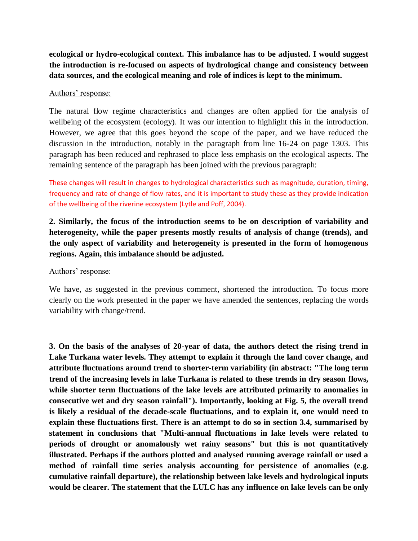**ecological or hydro-ecological context. This imbalance has to be adjusted. I would suggest the introduction is re-focused on aspects of hydrological change and consistency between data sources, and the ecological meaning and role of indices is kept to the minimum.**

#### Authors' response:

The natural flow regime characteristics and changes are often applied for the analysis of wellbeing of the ecosystem (ecology). It was our intention to highlight this in the introduction. However, we agree that this goes beyond the scope of the paper, and we have reduced the discussion in the introduction, notably in the paragraph from line 16-24 on page 1303. This paragraph has been reduced and rephrased to place less emphasis on the ecological aspects. The remaining sentence of the paragraph has been joined with the previous paragraph:

These changes will result in changes to hydrological characteristics such as magnitude, duration, timing, frequency and rate of change of flow rates, and it is important to study these as they provide indication of the wellbeing of the riverine ecosystem (Lytle and Poff, 2004).

**2. Similarly, the focus of the introduction seems to be on description of variability and heterogeneity, while the paper presents mostly results of analysis of change (trends), and the only aspect of variability and heterogeneity is presented in the form of homogenous regions. Again, this imbalance should be adjusted.**

#### Authors' response:

We have, as suggested in the previous comment, shortened the introduction. To focus more clearly on the work presented in the paper we have amended the sentences, replacing the words variability with change/trend.

**3. On the basis of the analyses of 20-year of data, the authors detect the rising trend in Lake Turkana water levels. They attempt to explain it through the land cover change, and attribute fluctuations around trend to shorter-term variability (in abstract: "The long term trend of the increasing levels in lake Turkana is related to these trends in dry season flows, while shorter term fluctuations of the lake levels are attributed primarily to anomalies in consecutive wet and dry season rainfall"). Importantly, looking at Fig. 5, the overall trend is likely a residual of the decade-scale fluctuations, and to explain it, one would need to explain these fluctuations first. There is an attempt to do so in section 3.4, summarised by statement in conclusions that "Multi-annual fluctuations in lake levels were related to periods of drought or anomalously wet rainy seasons" but this is not quantitatively illustrated. Perhaps if the authors plotted and analysed running average rainfall or used a method of rainfall time series analysis accounting for persistence of anomalies (e.g. cumulative rainfall departure), the relationship between lake levels and hydrological inputs would be clearer. The statement that the LULC has any influence on lake levels can be only**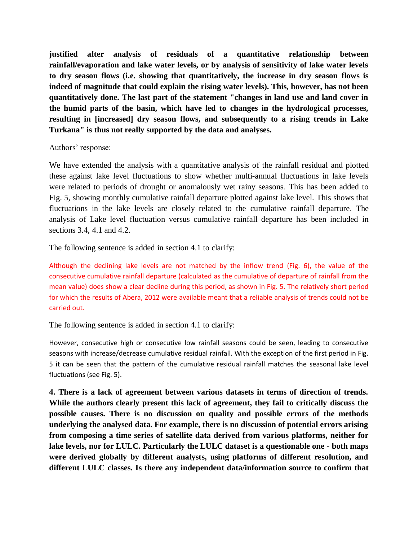**justified after analysis of residuals of a quantitative relationship between rainfall/evaporation and lake water levels, or by analysis of sensitivity of lake water levels to dry season flows (i.e. showing that quantitatively, the increase in dry season flows is indeed of magnitude that could explain the rising water levels). This, however, has not been quantitatively done. The last part of the statement "changes in land use and land cover in the humid parts of the basin, which have led to changes in the hydrological processes, resulting in [increased] dry season flows, and subsequently to a rising trends in Lake Turkana" is thus not really supported by the data and analyses.**

#### Authors' response:

We have extended the analysis with a quantitative analysis of the rainfall residual and plotted these against lake level fluctuations to show whether multi-annual fluctuations in lake levels were related to periods of drought or anomalously wet rainy seasons. This has been added to Fig. 5, showing monthly cumulative rainfall departure plotted against lake level. This shows that fluctuations in the lake levels are closely related to the cumulative rainfall departure. The analysis of Lake level fluctuation versus cumulative rainfall departure has been included in sections 3.4, 4.1 and 4.2.

The following sentence is added in section 4.1 to clarify:

Although the declining lake levels are not matched by the inflow trend (Fig. 6), the value of the consecutive cumulative rainfall departure (calculated as the cumulative of departure of rainfall from the mean value) does show a clear decline during this period, as shown in Fig. 5. The relatively short period for which the results of Abera, 2012 were available meant that a reliable analysis of trends could not be carried out.

The following sentence is added in section 4.1 to clarify:

However, consecutive high or consecutive low rainfall seasons could be seen, leading to consecutive seasons with increase/decrease cumulative residual rainfall. With the exception of the first period in Fig. 5 it can be seen that the pattern of the cumulative residual rainfall matches the seasonal lake level fluctuations (see Fig. 5).

**4. There is a lack of agreement between various datasets in terms of direction of trends. While the authors clearly present this lack of agreement, they fail to critically discuss the possible causes. There is no discussion on quality and possible errors of the methods underlying the analysed data. For example, there is no discussion of potential errors arising from composing a time series of satellite data derived from various platforms, neither for lake levels, nor for LULC. Particularly the LULC dataset is a questionable one - both maps were derived globally by different analysts, using platforms of different resolution, and different LULC classes. Is there any independent data/information source to confirm that**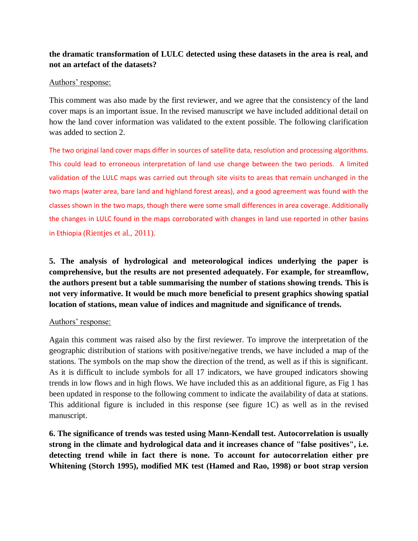# **the dramatic transformation of LULC detected using these datasets in the area is real, and not an artefact of the datasets?**

### Authors' response:

This comment was also made by the first reviewer, and we agree that the consistency of the land cover maps is an important issue. In the revised manuscript we have included additional detail on how the land cover information was validated to the extent possible. The following clarification was added to section 2.

The two original land cover maps differ in sources of satellite data, resolution and processing algorithms. This could lead to erroneous interpretation of land use change between the two periods. A limited validation of the LULC maps was carried out through site visits to areas that remain unchanged in the two maps (water area, bare land and highland forest areas), and a good agreement was found with the classes shown in the two maps, though there were some small differences in area coverage. Additionally the changes in LULC found in the maps corroborated with changes in land use reported in other basins in Ethiopia (Rientjes et al., 2011).

**5. The analysis of hydrological and meteorological indices underlying the paper is comprehensive, but the results are not presented adequately. For example, for streamflow, the authors present but a table summarising the number of stations showing trends. This is not very informative. It would be much more beneficial to present graphics showing spatial location of stations, mean value of indices and magnitude and significance of trends.**

### Authors' response:

Again this comment was raised also by the first reviewer. To improve the interpretation of the geographic distribution of stations with positive/negative trends, we have included a map of the stations. The symbols on the map show the direction of the trend, as well as if this is significant. As it is difficult to include symbols for all 17 indicators, we have grouped indicators showing trends in low flows and in high flows. We have included this as an additional figure, as Fig 1 has been updated in response to the following comment to indicate the availability of data at stations. This additional figure is included in this response (see figure 1C) as well as in the revised manuscript.

**6. The significance of trends was tested using Mann-Kendall test. Autocorrelation is usually strong in the climate and hydrological data and it increases chance of "false positives", i.e. detecting trend while in fact there is none. To account for autocorrelation either pre Whitening (Storch 1995), modified MK test (Hamed and Rao, 1998) or boot strap version**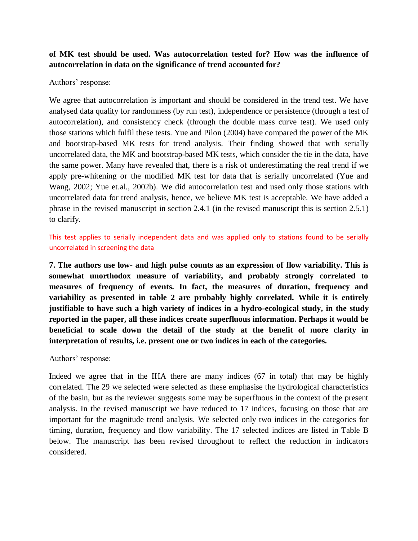## **of MK test should be used. Was autocorrelation tested for? How was the influence of autocorrelation in data on the significance of trend accounted for?**

#### Authors' response:

We agree that autocorrelation is important and should be considered in the trend test. We have analysed data quality for randomness (by run test), independence or persistence (through a test of autocorrelation), and consistency check (through the double mass curve test). We used only those stations which fulfil these tests. Yue and Pilon (2004) have compared the power of the MK and bootstrap-based MK tests for trend analysis. Their finding showed that with serially uncorrelated data, the MK and bootstrap-based MK tests, which consider the tie in the data, have the same power. Many have revealed that, there is a risk of underestimating the real trend if we apply pre-whitening or the modified MK test for data that is serially uncorrelated (Yue and Wang, 2002; Yue et.al., 2002b). We did autocorrelation test and used only those stations with uncorrelated data for trend analysis, hence, we believe MK test is acceptable. We have added a phrase in the revised manuscript in section 2.4.1 (in the revised manuscript this is section 2.5.1) to clarify.

This test applies to serially independent data and was applied only to stations found to be serially uncorrelated in screening the data

**7. The authors use low- and high pulse counts as an expression of flow variability. This is somewhat unorthodox measure of variability, and probably strongly correlated to measures of frequency of events. In fact, the measures of duration, frequency and variability as presented in table 2 are probably highly correlated. While it is entirely justifiable to have such a high variety of indices in a hydro-ecological study, in the study reported in the paper, all these indices create superfluous information. Perhaps it would be beneficial to scale down the detail of the study at the benefit of more clarity in interpretation of results, i.e. present one or two indices in each of the categories.**

### Authors' response:

Indeed we agree that in the IHA there are many indices (67 in total) that may be highly correlated. The 29 we selected were selected as these emphasise the hydrological characteristics of the basin, but as the reviewer suggests some may be superfluous in the context of the present analysis. In the revised manuscript we have reduced to 17 indices, focusing on those that are important for the magnitude trend analysis. We selected only two indices in the categories for timing, duration, frequency and flow variability. The 17 selected indices are listed in Table B below. The manuscript has been revised throughout to reflect the reduction in indicators considered.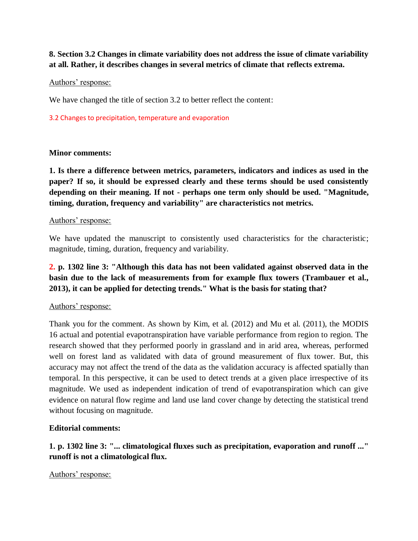**8. Section 3.2 Changes in climate variability does not address the issue of climate variability at all. Rather, it describes changes in several metrics of climate that reflects extrema.**

### Authors' response:

We have changed the title of section 3.2 to better reflect the content:

#### 3.2 Changes to precipitation, temperature and evaporation

### **Minor comments:**

**1. Is there a difference between metrics, parameters, indicators and indices as used in the paper? If so, it should be expressed clearly and these terms should be used consistently depending on their meaning. If not - perhaps one term only should be used. "Magnitude, timing, duration, frequency and variability" are characteristics not metrics.**

#### Authors' response:

We have updated the manuscript to consistently used characteristics for the characteristic; magnitude, timing, duration, frequency and variability.

# **2. p. 1302 line 3: "Although this data has not been validated against observed data in the basin due to the lack of measurements from for example flux towers (Trambauer et al., 2013), it can be applied for detecting trends." What is the basis for stating that?**

### Authors' response:

Thank you for the comment. As shown by Kim, et al. (2012) and Mu et al. (2011), the MODIS 16 actual and potential evapotranspiration have variable performance from region to region. The research showed that they performed poorly in grassland and in arid area, whereas, performed well on forest land as validated with data of ground measurement of flux tower. But, this accuracy may not affect the trend of the data as the validation accuracy is affected spatially than temporal. In this perspective, it can be used to detect trends at a given place irrespective of its magnitude. We used as independent indication of trend of evapotranspiration which can give evidence on natural flow regime and land use land cover change by detecting the statistical trend without focusing on magnitude.

### **Editorial comments:**

# **1. p. 1302 line 3: "... climatological fluxes such as precipitation, evaporation and runoff ..." runoff is not a climatological flux.**

### Authors' response: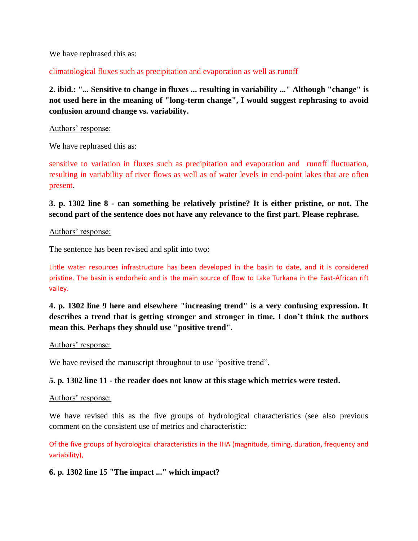We have rephrased this as:

climatological fluxes such as precipitation and evaporation as well as runoff

**2. ibid.: "... Sensitive to change in fluxes ... resulting in variability ..." Although "change" is not used here in the meaning of "long-term change", I would suggest rephrasing to avoid confusion around change vs. variability.**

#### Authors' response:

We have rephrased this as:

sensitive to variation in fluxes such as precipitation and evaporation and runoff fluctuation, resulting in variability of river flows as well as of water levels in end-point lakes that are often present.

# **3. p. 1302 line 8 - can something be relatively pristine? It is either pristine, or not. The second part of the sentence does not have any relevance to the first part. Please rephrase.**

#### Authors' response:

The sentence has been revised and split into two:

Little water resources infrastructure has been developed in the basin to date, and it is considered pristine. The basin is endorheic and is the main source of flow to Lake Turkana in the East-African rift valley.

**4. p. 1302 line 9 here and elsewhere "increasing trend" is a very confusing expression. It describes a trend that is getting stronger and stronger in time. I don't think the authors mean this. Perhaps they should use "positive trend".**

#### Authors' response:

We have revised the manuscript throughout to use "positive trend".

### **5. p. 1302 line 11 - the reader does not know at this stage which metrics were tested.**

#### Authors' response:

We have revised this as the five groups of hydrological characteristics (see also previous comment on the consistent use of metrics and characteristic:

Of the five groups of hydrological characteristics in the IHA (magnitude, timing, duration, frequency and variability),

### **6. p. 1302 line 15 "The impact ..." which impact?**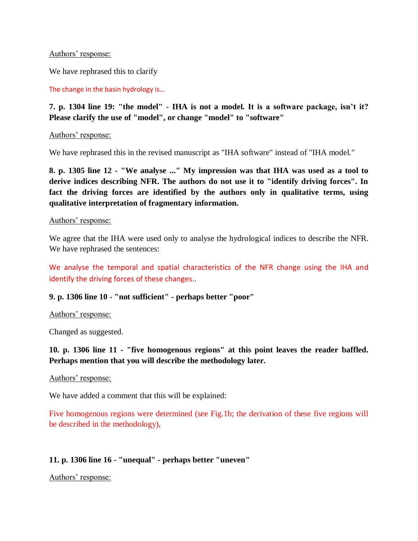Authors' response:

We have rephrased this to clarify

The change in the basin hydrology is…

# **7. p. 1304 line 19: "the model" - IHA is not a model. It is a software package, isn't it? Please clarify the use of "model", or change "model" to "software"**

Authors' response:

We have rephrased this in the revised manuscript as "IHA software" instead of "IHA model."

**8. p. 1305 line 12 - "We analyse ..." My impression was that IHA was used as a tool to derive indices describing NFR. The authors do not use it to "identify driving forces". In fact the driving forces are identified by the authors only in qualitative terms, using qualitative interpretation of fragmentary information.**

### Authors' response:

We agree that the IHA were used only to analyse the hydrological indices to describe the NFR. We have rephrased the sentences:

We analyse the temporal and spatial characteristics of the NFR change using the IHA and identify the driving forces of these changes..

## **9. p. 1306 line 10 - "not sufficient" - perhaps better "poor"**

## Authors' response:

Changed as suggested.

# **10. p. 1306 line 11 - "five homogenous regions" at this point leaves the reader baffled. Perhaps mention that you will describe the methodology later.**

### Authors' response:

We have added a comment that this will be explained:

Five homogenous regions were determined (see Fig.1b; the derivation of these five regions will be described in the methodology),

# **11. p. 1306 line 16 - "unequal" - perhaps better "uneven"**

Authors' response: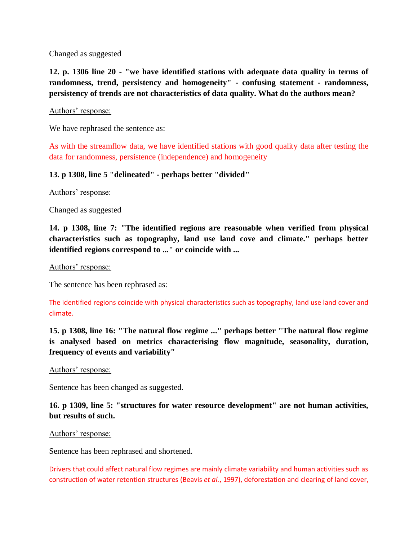Changed as suggested

**12. p. 1306 line 20 - "we have identified stations with adequate data quality in terms of randomness, trend, persistency and homogeneity" - confusing statement - randomness, persistency of trends are not characteristics of data quality. What do the authors mean?**

### Authors' response:

We have rephrased the sentence as:

As with the streamflow data, we have identified stations with good quality data after testing the data for randomness, persistence (independence) and homogeneity

### **13. p 1308, line 5 "delineated" - perhaps better "divided"**

Authors' response:

Changed as suggested

**14. p 1308, line 7: "The identified regions are reasonable when verified from physical characteristics such as topography, land use land cove and climate." perhaps better identified regions correspond to ..." or coincide with ...**

#### Authors' response:

The sentence has been rephrased as:

The identified regions coincide with physical characteristics such as topography, land use land cover and climate.

**15. p 1308, line 16: "The natural flow regime ..." perhaps better "The natural flow regime is analysed based on metrics characterising flow magnitude, seasonality, duration, frequency of events and variability"**

Authors' response:

Sentence has been changed as suggested.

**16. p 1309, line 5: "structures for water resource development" are not human activities, but results of such.**

#### Authors' response:

Sentence has been rephrased and shortened.

Drivers that could affect natural flow regimes are mainly climate variability and human activities such as construction of water retention structures (Beavis *et al.*, 1997), deforestation and clearing of land cover,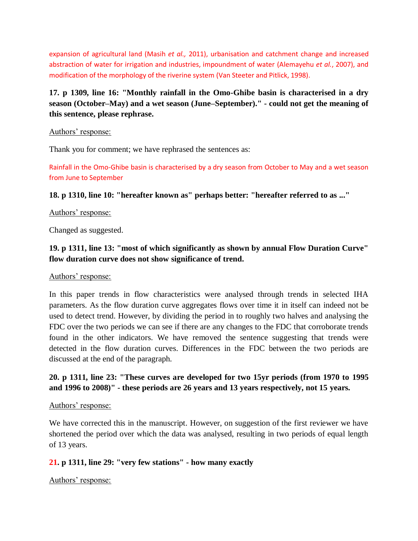expansion of agricultural land (Masih *et al.,* 2011), urbanisation and catchment change and increased abstraction of water for irrigation and industries, impoundment of water (Alemayehu *et al.*, 2007), and modification of the morphology of the riverine system (Van Steeter and Pitlick, 1998).

# **17. p 1309, line 16: "Monthly rainfall in the Omo-Ghibe basin is characterised in a dry season (October–May) and a wet season (June–September)." - could not get the meaning of this sentence, please rephrase.**

### Authors' response:

Thank you for comment; we have rephrased the sentences as:

Rainfall in the Omo-Ghibe basin is characterised by a dry season from October to May and a wet season from June to September

## **18. p 1310, line 10: "hereafter known as" perhaps better: "hereafter referred to as ..."**

## Authors' response:

Changed as suggested.

# **19. p 1311, line 13: "most of which significantly as shown by annual Flow Duration Curve" flow duration curve does not show significance of trend.**

## Authors' response:

In this paper trends in flow characteristics were analysed through trends in selected IHA parameters. As the flow duration curve aggregates flows over time it in itself can indeed not be used to detect trend. However, by dividing the period in to roughly two halves and analysing the FDC over the two periods we can see if there are any changes to the FDC that corroborate trends found in the other indicators. We have removed the sentence suggesting that trends were detected in the flow duration curves. Differences in the FDC between the two periods are discussed at the end of the paragraph.

# **20. p 1311, line 23: "These curves are developed for two 15yr periods (from 1970 to 1995 and 1996 to 2008)" - these periods are 26 years and 13 years respectively, not 15 years.**

## Authors' response:

We have corrected this in the manuscript. However, on suggestion of the first reviewer we have shortened the period over which the data was analysed, resulting in two periods of equal length of 13 years.

# **21. p 1311, line 29: "very few stations" - how many exactly**

Authors' response: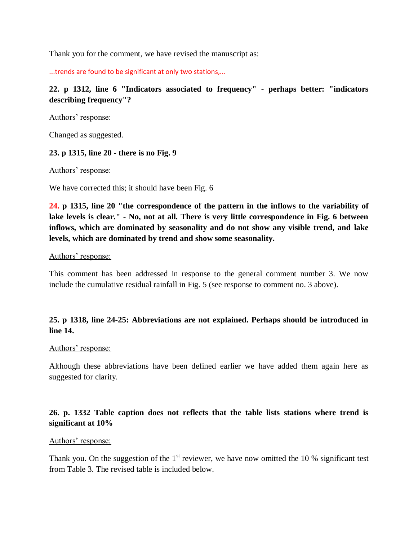Thank you for the comment, we have revised the manuscript as:

...trends are found to be significant at only two stations,...

**22. p 1312, line 6 "Indicators associated to frequency" - perhaps better: "indicators describing frequency"?**

Authors' response:

Changed as suggested.

### **23. p 1315, line 20 - there is no Fig. 9**

Authors' response:

We have corrected this; it should have been Fig. 6

**24. p 1315, line 20 "the correspondence of the pattern in the inflows to the variability of lake levels is clear." - No, not at all. There is very little correspondence in Fig. 6 between inflows, which are dominated by seasonality and do not show any visible trend, and lake levels, which are dominated by trend and show some seasonality.**

#### Authors' response:

This comment has been addressed in response to the general comment number 3. We now include the cumulative residual rainfall in Fig. 5 (see response to comment no. 3 above).

## **25. p 1318, line 24-25: Abbreviations are not explained. Perhaps should be introduced in line 14.**

### Authors' response:

Although these abbreviations have been defined earlier we have added them again here as suggested for clarity.

## **26. p. 1332 Table caption does not reflects that the table lists stations where trend is significant at 10%**

### Authors' response:

Thank you. On the suggestion of the  $1<sup>st</sup>$  reviewer, we have now omitted the 10 % significant test from Table 3. The revised table is included below.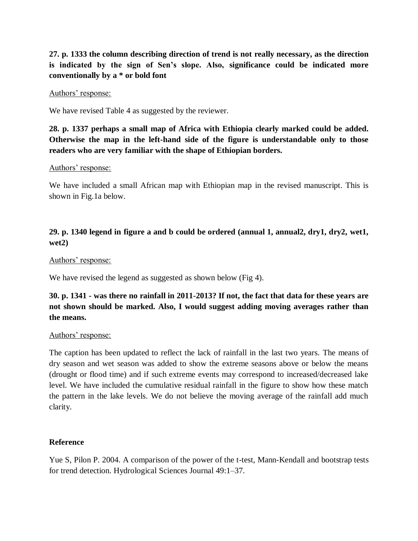**27. p. 1333 the column describing direction of trend is not really necessary, as the direction is indicated by the sign of Sen's slope. Also, significance could be indicated more conventionally by a \* or bold font**

#### Authors' response:

We have revised Table 4 as suggested by the reviewer.

**28. p. 1337 perhaps a small map of Africa with Ethiopia clearly marked could be added. Otherwise the map in the left-hand side of the figure is understandable only to those readers who are very familiar with the shape of Ethiopian borders.**

### Authors' response:

We have included a small African map with Ethiopian map in the revised manuscript. This is shown in Fig.1a below.

# **29. p. 1340 legend in figure a and b could be ordered (annual 1, annual2, dry1, dry2, wet1, wet2)**

#### Authors' response:

We have revised the legend as suggested as shown below (Fig 4).

# **30. p. 1341 - was there no rainfall in 2011-2013? If not, the fact that data for these years are not shown should be marked. Also, I would suggest adding moving averages rather than the means.**

### Authors' response:

The caption has been updated to reflect the lack of rainfall in the last two years. The means of dry season and wet season was added to show the extreme seasons above or below the means (drought or flood time) and if such extreme events may correspond to increased/decreased lake level. We have included the cumulative residual rainfall in the figure to show how these match the pattern in the lake levels. We do not believe the moving average of the rainfall add much clarity.

### **Reference**

Yue S, Pilon P. 2004. A comparison of the power of the t-test, Mann-Kendall and bootstrap tests for trend detection. Hydrological Sciences Journal 49:1–37.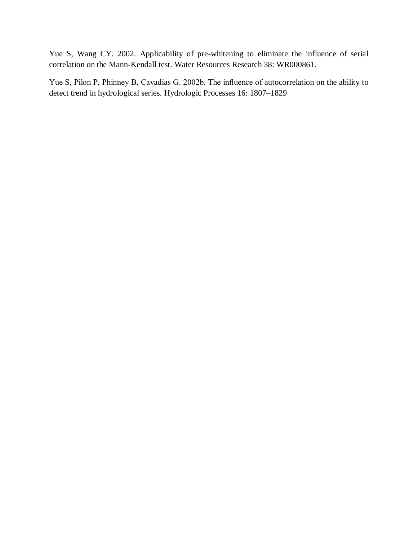Yue S, Wang CY. 2002. Applicability of pre-whitening to eliminate the influence of serial correlation on the Mann-Kendall test. Water Resources Research 38: WR000861.

Yue S, Pilon P, Phinney B, Cavadias G. 2002b. The influence of autocorrelation on the ability to detect trend in hydrological series. Hydrologic Processes 16: 1807–1829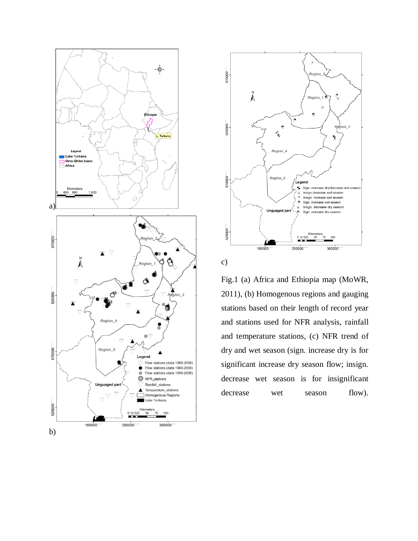



Fig.1 (a) Africa and Ethiopia map (MoWR, 2011), (b) Homogenous regions and gauging stations based on their length of record year and stations used for NFR analysis, rainfall and temperature stations, (c) NFR trend of dry and wet season (sign. increase dry is for significant increase dry season flow; insign. decrease wet season is for insignificant decrease wet season flow).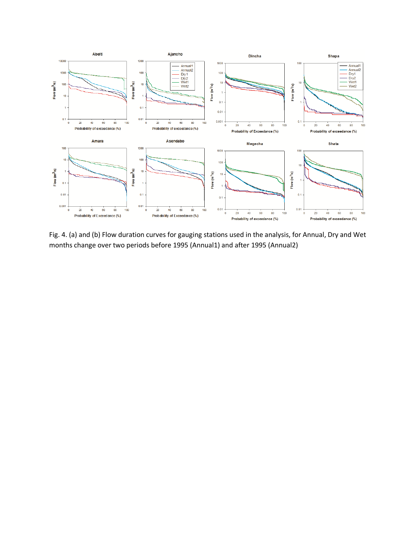

Fig. 4. (a) and (b) Flow duration curves for gauging stations used in the analysis, for Annual, Dry and Wet months change over two periods before 1995 (Annual1) and after 1995 (Annual2)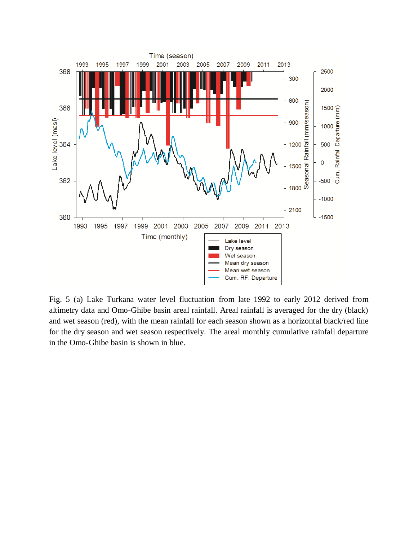

Fig. 5 (a) Lake Turkana water level fluctuation from late 1992 to early 2012 derived from altimetry data and Omo-Ghibe basin areal rainfall. Areal rainfall is averaged for the dry (black) and wet season (red), with the mean rainfall for each season shown as a horizontal black/red line for the dry season and wet season respectively. The areal monthly cumulative rainfall departure in the Omo-Ghibe basin is shown in blue.